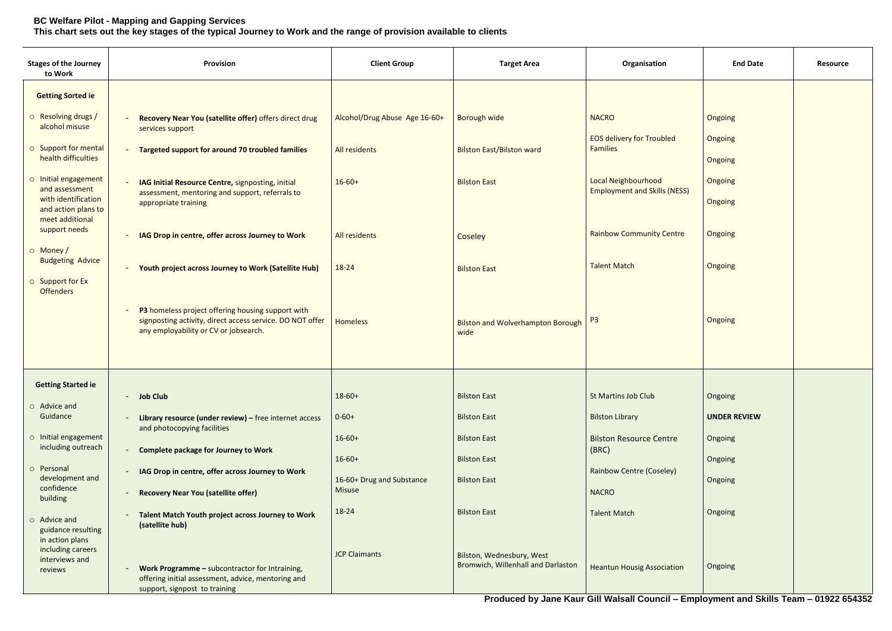## **BC Welfare Pilot - Mapping and Gapping Services This chart sets out the key stages of the typical Journey to Work and the range of provision available to clients**

| <b>Stages of the Journey</b><br>to Work                           | Provision                                                                                                                                                                 | <b>Client Group</b>                        | <b>Target Area</b>                                              | Organisation                                                                    | <b>End Date</b>                | <b>Resource</b>     |
|-------------------------------------------------------------------|---------------------------------------------------------------------------------------------------------------------------------------------------------------------------|--------------------------------------------|-----------------------------------------------------------------|---------------------------------------------------------------------------------|--------------------------------|---------------------|
| <b>Getting Sorted ie</b>                                          |                                                                                                                                                                           |                                            |                                                                 |                                                                                 |                                |                     |
| o Resolving drugs /<br>alcohol misuse                             | Recovery Near You (satellite offer) offers direct drug<br>services support                                                                                                | Alcohol/Drug Abuse Age 16-60+              | Borough wide                                                    | <b>NACRO</b>                                                                    | Ongoing                        |                     |
| ○ Support for mental<br>health difficulties                       | <b>Targeted support for around 70 troubled families</b><br>$\blacksquare$                                                                                                 | All residents                              | <b>Bilston East/Bilston ward</b>                                | <b>EOS delivery for Troubled</b><br><b>Families</b>                             | <b>Ongoing</b><br>Ongoing      |                     |
| o Initial engagement<br>and assessment                            | IAG Initial Resource Centre, signposting, initial<br>$\blacksquare$<br>assessment, mentoring and support, referrals to                                                    | $16-60+$                                   | <b>Bilston East</b>                                             | <b>Local Neighbourhood</b><br><b>Employment and Skills (NESS)</b>               | Ongoing                        |                     |
| with identification<br>and action plans to<br>meet additional     | appropriate training                                                                                                                                                      |                                            |                                                                 |                                                                                 | Ongoing                        |                     |
| support needs<br>o Money/                                         | IAG Drop in centre, offer across Journey to Work<br>$\blacksquare$                                                                                                        | All residents                              | Coseley                                                         | <b>Rainbow Community Centre</b>                                                 | Ongoing                        |                     |
| <b>Budgeting Advice</b><br><b>O</b> Support for Ex                | <b>Youth project across Journey to Work (Satellite Hub)</b><br>$\sim$                                                                                                     | 18-24                                      | <b>Bilston East</b>                                             | <b>Talent Match</b>                                                             | Ongoing                        |                     |
| <b>Offenders</b>                                                  | P3 homeless project offering housing support with<br>$\blacksquare$<br>signposting activity, direct access service. DO NOT offer<br>any employability or CV or jobsearch. | <b>Homeless</b>                            | <b>Bilston and Wolverhampton Borough</b><br>wide                | P <sub>3</sub>                                                                  | Ongoing                        |                     |
| <b>Getting Started ie</b>                                         |                                                                                                                                                                           |                                            |                                                                 |                                                                                 |                                |                     |
| $\circ$ Advice and<br>Guidance                                    | - Job Club<br>Library resource (under review) $-$ free internet access<br>$\blacksquare$                                                                                  | $18-60+$<br>$0 - 60 +$                     | <b>Bilston East</b><br><b>Bilston East</b>                      | <b>St Martins Job Club</b><br><b>Bilston Library</b>                            | Ongoing<br><b>UNDER REVIEW</b> |                     |
| o Initial engagement<br>including outreach                        | and photocopying facilities                                                                                                                                               | $16 - 60 +$                                | <b>Bilston East</b>                                             | <b>Bilston Resource Centre</b>                                                  | Ongoing                        |                     |
| o Personal                                                        | <b>Complete package for Journey to Work</b><br>$\sim$                                                                                                                     | $16 - 60 +$                                | <b>Bilston East</b>                                             | (BRC)                                                                           | Ongoing                        |                     |
| development and<br>confidence<br>building                         | IAG Drop in centre, offer across Journey to Work<br>$\blacksquare$<br><b>Recovery Near You (satellite offer)</b><br>$\overline{\phantom{a}}$                              | 16-60+ Drug and Substance<br><b>Misuse</b> | <b>Bilston East</b>                                             | <b>Rainbow Centre (Coseley)</b><br><b>NACRO</b>                                 | Ongoing                        |                     |
| $\circ$ Advice and<br>guidance resulting                          | Talent Match Youth project across Journey to Work<br>$\overline{\phantom{a}}$<br>(satellite hub)                                                                          | 18-24                                      | <b>Bilston East</b>                                             | <b>Talent Match</b>                                                             | Ongoing                        |                     |
| in action plans<br>including careers<br>interviews and<br>reviews | Work Programme - subcontractor for Intraining,<br>$\blacksquare$<br>offering initial assessment, advice, mentoring and                                                    | <b>JCP Claimants</b>                       | Bilston, Wednesbury, West<br>Bromwich, Willenhall and Darlaston | <b>Heantun Housig Association</b>                                               | Ongoing                        |                     |
|                                                                   | support, signpost to training                                                                                                                                             |                                            |                                                                 | <b>Draditional by Jone Kein Cill Welcell Council Employment and Clille Team</b> |                                | <b>CACOO CEADEO</b> |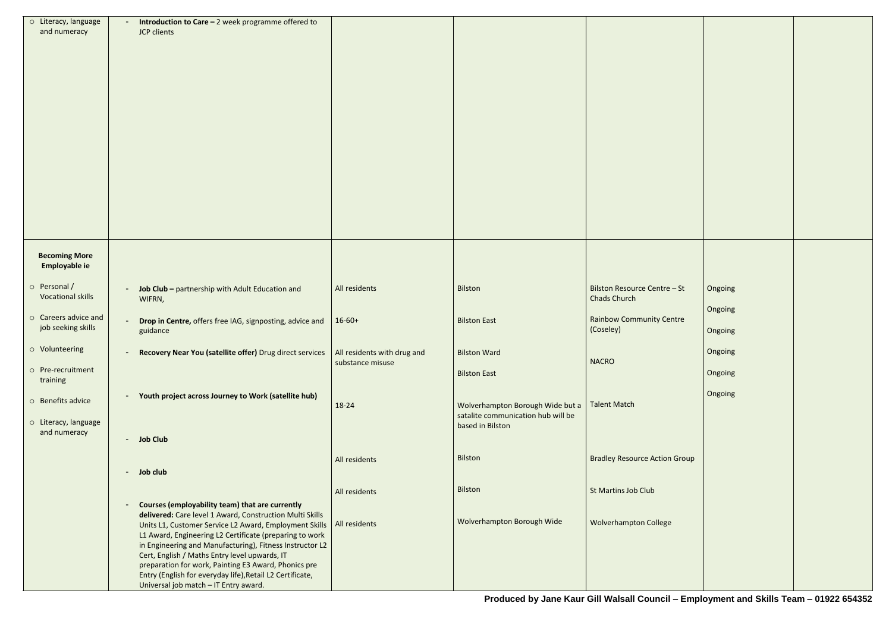| o Literacy, language<br>and numeracy     | Introduction to Care - 2 week programme offered to<br>JCP clients                                                                                                                                                                                                                                                                                                                                     |                  |                                                                        |                                                     |         |  |
|------------------------------------------|-------------------------------------------------------------------------------------------------------------------------------------------------------------------------------------------------------------------------------------------------------------------------------------------------------------------------------------------------------------------------------------------------------|------------------|------------------------------------------------------------------------|-----------------------------------------------------|---------|--|
|                                          |                                                                                                                                                                                                                                                                                                                                                                                                       |                  |                                                                        |                                                     |         |  |
|                                          |                                                                                                                                                                                                                                                                                                                                                                                                       |                  |                                                                        |                                                     |         |  |
|                                          |                                                                                                                                                                                                                                                                                                                                                                                                       |                  |                                                                        |                                                     |         |  |
|                                          |                                                                                                                                                                                                                                                                                                                                                                                                       |                  |                                                                        |                                                     |         |  |
|                                          |                                                                                                                                                                                                                                                                                                                                                                                                       |                  |                                                                        |                                                     |         |  |
|                                          |                                                                                                                                                                                                                                                                                                                                                                                                       |                  |                                                                        |                                                     |         |  |
|                                          |                                                                                                                                                                                                                                                                                                                                                                                                       |                  |                                                                        |                                                     |         |  |
|                                          |                                                                                                                                                                                                                                                                                                                                                                                                       |                  |                                                                        |                                                     |         |  |
|                                          |                                                                                                                                                                                                                                                                                                                                                                                                       |                  |                                                                        |                                                     |         |  |
|                                          |                                                                                                                                                                                                                                                                                                                                                                                                       |                  |                                                                        |                                                     |         |  |
|                                          |                                                                                                                                                                                                                                                                                                                                                                                                       |                  |                                                                        |                                                     |         |  |
| <b>Becoming More</b><br>Employable ie    |                                                                                                                                                                                                                                                                                                                                                                                                       |                  |                                                                        |                                                     |         |  |
| o Personal /<br><b>Vocational skills</b> | Job Club - partnership with Adult Education and<br>WIFRN,                                                                                                                                                                                                                                                                                                                                             | All residents    | Bilston                                                                | Bilston Resource Centre - St<br><b>Chads Church</b> | Ongoing |  |
| o Careers advice and                     | Drop in Centre, offers free IAG, signposting, advice and                                                                                                                                                                                                                                                                                                                                              | $16 - 60 +$      | <b>Bilston East</b>                                                    | <b>Rainbow Community Centre</b>                     | Ongoing |  |
| job seeking skills                       | guidance                                                                                                                                                                                                                                                                                                                                                                                              |                  |                                                                        | (Coseley)                                           | Ongoing |  |
| o Volunteering                           | <b>Recovery Near You (satellite offer)</b> Drug direct services $\vert$ All residents with drug and                                                                                                                                                                                                                                                                                                   | substance misuse | <b>Bilston Ward</b>                                                    | <b>NACRO</b>                                        | Ongoing |  |
| o Pre-recruitment<br>training            |                                                                                                                                                                                                                                                                                                                                                                                                       |                  | <b>Bilston East</b>                                                    |                                                     | Ongoing |  |
| O Benefits advice                        | Youth project across Journey to Work (satellite hub)                                                                                                                                                                                                                                                                                                                                                  |                  |                                                                        |                                                     | Ongoing |  |
|                                          |                                                                                                                                                                                                                                                                                                                                                                                                       | 18-24            | Wolverhampton Borough Wide but a<br>satalite communication hub will be | <b>Talent Match</b>                                 |         |  |
| o Literacy, language<br>and numeracy     | - Job Club                                                                                                                                                                                                                                                                                                                                                                                            |                  | based in Bilston                                                       |                                                     |         |  |
|                                          |                                                                                                                                                                                                                                                                                                                                                                                                       | All residents    | Bilston                                                                | <b>Bradley Resource Action Group</b>                |         |  |
|                                          | - Job club                                                                                                                                                                                                                                                                                                                                                                                            |                  |                                                                        |                                                     |         |  |
|                                          |                                                                                                                                                                                                                                                                                                                                                                                                       | All residents    | Bilston                                                                | St Martins Job Club                                 |         |  |
|                                          | Courses (employability team) that are currently<br>delivered: Care level 1 Award, Construction Multi Skills<br>Units L1, Customer Service L2 Award, Employment Skills<br>L1 Award, Engineering L2 Certificate (preparing to work<br>in Engineering and Manufacturing), Fitness Instructor L2<br>Cert, English / Maths Entry level upwards, IT<br>preparation for work, Painting E3 Award, Phonics pre | All residents    | Wolverhampton Borough Wide                                             | <b>Wolverhampton College</b>                        |         |  |
|                                          | Entry (English for everyday life), Retail L2 Certificate,<br>Universal job match - IT Entry award.                                                                                                                                                                                                                                                                                                    |                  |                                                                        |                                                     |         |  |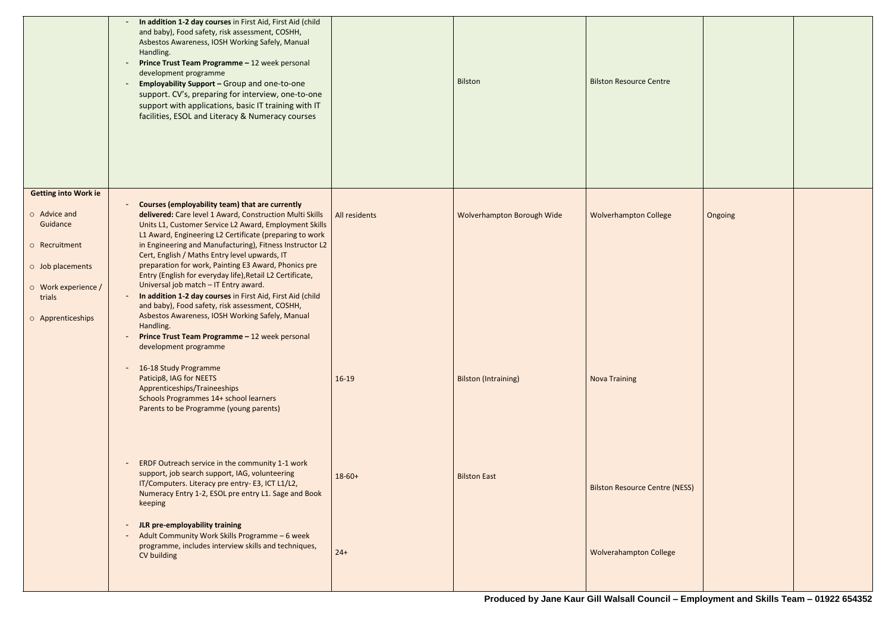|                                                                                                                                       | In addition 1-2 day courses in First Aid, First Aid (child<br>and baby), Food safety, risk assessment, COSHH,<br>Asbestos Awareness, IOSH Working Safely, Manual<br>Handling.<br>Prince Trust Team Programme - 12 week personal<br>development programme<br><b>Employability Support - Group and one-to-one</b><br>support. CV's, preparing for interview, one-to-one<br>support with applications, basic IT training with IT<br>facilities, ESOL and Literacy & Numeracy courses                                                                                                                                                                                                                                                                                                                                                                                                                                                                       |                          | <b>Bilston</b>                                            | <b>Bilston Resource Centre</b>                       |
|---------------------------------------------------------------------------------------------------------------------------------------|---------------------------------------------------------------------------------------------------------------------------------------------------------------------------------------------------------------------------------------------------------------------------------------------------------------------------------------------------------------------------------------------------------------------------------------------------------------------------------------------------------------------------------------------------------------------------------------------------------------------------------------------------------------------------------------------------------------------------------------------------------------------------------------------------------------------------------------------------------------------------------------------------------------------------------------------------------|--------------------------|-----------------------------------------------------------|------------------------------------------------------|
| <b>Getting into Work ie</b>                                                                                                           |                                                                                                                                                                                                                                                                                                                                                                                                                                                                                                                                                                                                                                                                                                                                                                                                                                                                                                                                                         |                          |                                                           |                                                      |
| $\circ$ Advice and<br>Guidance<br>o Recruitment<br>$\circ$ Job placements<br>$\circ$ Work experience /<br>trials<br>O Apprenticeships | <b>Courses (employability team) that are currently</b><br>delivered: Care level 1 Award, Construction Multi Skills<br>Units L1, Customer Service L2 Award, Employment Skills<br>L1 Award, Engineering L2 Certificate (preparing to work<br>in Engineering and Manufacturing), Fitness Instructor L2<br>Cert, English / Maths Entry level upwards, IT<br>preparation for work, Painting E3 Award, Phonics pre<br>Entry (English for everyday life), Retail L2 Certificate,<br>Universal job match - IT Entry award.<br>In addition 1-2 day courses in First Aid, First Aid (child<br>and baby), Food safety, risk assessment, COSHH,<br>Asbestos Awareness, IOSH Working Safely, Manual<br>Handling.<br>Prince Trust Team Programme - 12 week personal<br>development programme<br>16-18 Study Programme<br>Paticip8, IAG for NEETS<br>Apprenticeships/Traineeships<br>Schools Programmes 14+ school learners<br>Parents to be Programme (young parents) | All residents<br>$16-19$ | Wolverhampton Borough Wide<br><b>Bilston (Intraining)</b> | <b>Wolverhampton College</b><br><b>Nova Training</b> |
|                                                                                                                                       | ERDF Outreach service in the community 1-1 work<br>support, job search support, IAG, volunteering<br>IT/Computers. Literacy pre entry- E3, ICT L1/L2,<br>Numeracy Entry 1-2, ESOL pre entry L1. Sage and Book<br>keeping                                                                                                                                                                                                                                                                                                                                                                                                                                                                                                                                                                                                                                                                                                                                | $18-60+$                 | <b>Bilston East</b>                                       | <b>Bilston Resource Centre (</b>                     |
|                                                                                                                                       | JLR pre-employability training<br>Adult Community Work Skills Programme - 6 week<br>۰.<br>programme, includes interview skills and techniques,<br>CV building                                                                                                                                                                                                                                                                                                                                                                                                                                                                                                                                                                                                                                                                                                                                                                                           | $24+$                    |                                                           | <b>Wolverahampton College</b>                        |
|                                                                                                                                       |                                                                                                                                                                                                                                                                                                                                                                                                                                                                                                                                                                                                                                                                                                                                                                                                                                                                                                                                                         |                          |                                                           |                                                      |